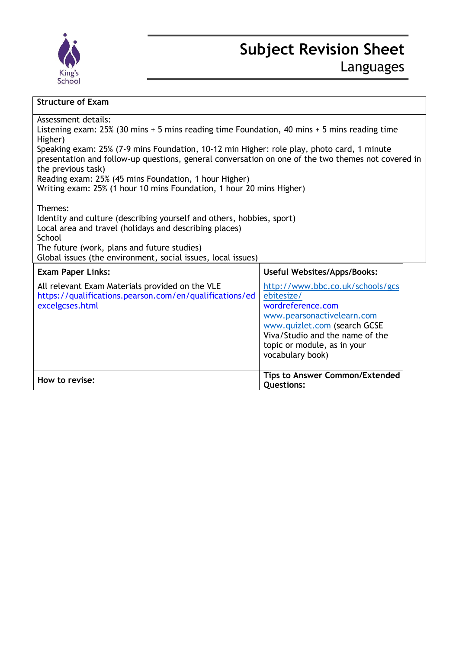

| Assessment details:<br>Listening exam: $25\%$ (30 mins + 5 mins reading time Foundation, 40 mins + 5 mins reading time<br>Higher)<br>Speaking exam: 25% (7-9 mins Foundation, 10-12 min Higher: role play, photo card, 1 minute<br>presentation and follow-up questions, general conversation on one of the two themes not covered in<br>the previous task)<br>Reading exam: 25% (45 mins Foundation, 1 hour Higher)<br>Writing exam: 25% (1 hour 10 mins Foundation, 1 hour 20 mins Higher) |                                                                                                                                                                                                                         |
|----------------------------------------------------------------------------------------------------------------------------------------------------------------------------------------------------------------------------------------------------------------------------------------------------------------------------------------------------------------------------------------------------------------------------------------------------------------------------------------------|-------------------------------------------------------------------------------------------------------------------------------------------------------------------------------------------------------------------------|
| Themes:<br>Identity and culture (describing yourself and others, hobbies, sport)<br>Local area and travel (holidays and describing places)<br>School<br>The future (work, plans and future studies)<br>Global issues (the environment, social issues, local issues)                                                                                                                                                                                                                          |                                                                                                                                                                                                                         |
| <b>Exam Paper Links:</b>                                                                                                                                                                                                                                                                                                                                                                                                                                                                     | <b>Useful Websites/Apps/Books:</b>                                                                                                                                                                                      |
| All relevant Exam Materials provided on the VLE<br>https://qualifications.pearson.com/en/qualifications/ed<br>excelgcses.html                                                                                                                                                                                                                                                                                                                                                                | http://www.bbc.co.uk/schools/gcs<br>ebitesize/<br>wordreference.com<br>www.pearsonactivelearn.com<br>www.quizlet.com (search GCSE<br>Viva/Studio and the name of the<br>topic or module, as in your<br>vocabulary book) |
| How to revise:                                                                                                                                                                                                                                                                                                                                                                                                                                                                               | <b>Tips to Answer Common/Extended</b><br><b>Questions:</b>                                                                                                                                                              |